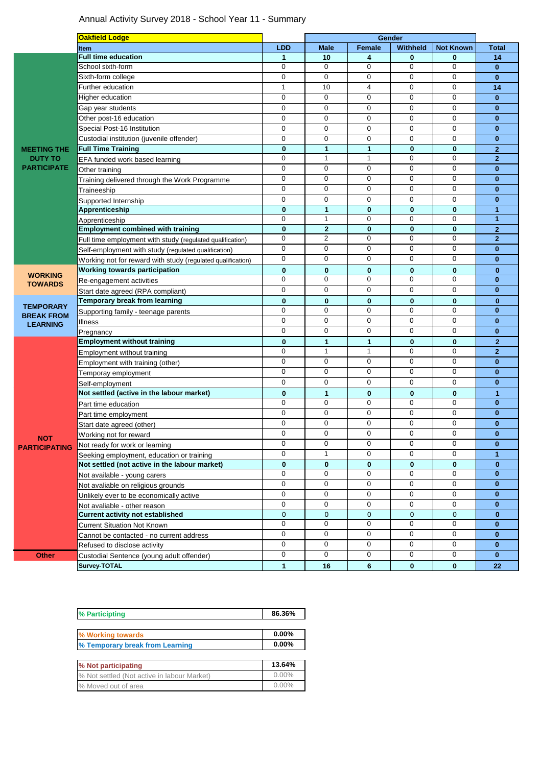## Annual Activity Survey 2018 - School Year 11 - Summary

| <b>LDD</b><br>Female<br><b>Not Known</b><br><b>Total</b><br><b>Male</b><br><b>Withheld</b><br><b>Item</b><br><b>Full time education</b><br>10<br>4<br>0<br>0<br>14<br>$\mathbf{1}$<br>0<br>$\mathbf 0$<br>$\mathbf 0$<br>$\mathbf 0$<br>0<br>School sixth-form<br>$\mathbf{0}$<br>0<br>$\mathbf 0$<br>$\mathbf 0$<br>Sixth-form college<br>0<br>0<br>$\mathbf{0}$<br>Further education<br>10<br>0<br>0<br>1<br>4<br>14<br>$\mathbf 0$<br>$\mathbf 0$<br>$\mathbf 0$<br>$\mathbf 0$<br>$\mathbf 0$<br>Higher education<br>$\mathbf{0}$<br>0<br>0<br>0<br>$\mathbf 0$<br>0<br>Gap year students<br>$\mathbf{0}$<br>Other post-16 education<br>$\mathbf 0$<br>0<br>$\mathbf 0$<br>$\mathbf 0$<br>$\bf{0}$<br>0<br>Special Post-16 Institution<br>0<br>$\mathbf 0$<br>0<br>0<br>0<br>$\bf{0}$<br>Custodial institution (juvenile offender)<br>$\mathbf 0$<br>$\mathbf 0$<br>$\mathbf 0$<br>$\mathbf 0$<br>$\mathbf 0$<br>$\bf{0}$<br><b>Full Time Training</b><br>1<br>$\bf{0}$<br>$\bf{0}$<br>$\bf{0}$<br>1<br>$\mathbf{2}$<br><b>MEETING THE</b><br>$\mathbf 0$<br>$\mathbf 0$<br>0<br>1<br>1<br>$\mathbf{2}$<br><b>DUTY TO</b><br>EFA funded work based learning<br><b>PARTICIPATE</b><br>$\mathbf 0$<br>$\mathbf 0$<br>$\mathbf 0$<br>$\mathbf 0$<br>$\mathbf 0$<br>$\mathbf{0}$<br>Other training<br>0<br>0<br>0<br>$\mathbf 0$<br>0<br>$\mathbf{0}$<br>Training delivered through the Work Programme<br>$\mathbf 0$<br>0<br>$\mathbf 0$<br>$\mathbf 0$<br>0<br>$\bf{0}$<br>Traineeship<br>0<br>0<br>0<br>$\mathbf 0$<br>$\mathbf 0$<br>$\bf{0}$<br>Supported Internship<br>Apprenticeship<br>$\mathbf 0$<br>1<br>$\bf{0}$<br>$\bf{0}$<br>$\mathbf{0}$<br>$\mathbf{1}$<br>$\mathbf 0$<br>$\mathbf{1}$<br>$\mathbf 0$<br>$\mathbf 0$<br>0<br>1<br>Apprenticeship<br>$\bf{0}$<br><b>Employment combined with training</b><br>$\bf{0}$<br>$\mathbf{2}$<br>0<br>$\mathbf{0}$<br>$\mathbf{2}$<br>$\overline{2}$<br>$\overline{2}$<br>0<br>$\mathbf 0$<br>$\mathbf 0$<br>0<br>Full time employment with study (regulated qualification)<br>0<br>0<br>0<br>0<br>0<br>$\bf{0}$<br>Self-employment with study (regulated qualification)<br>0<br>$\mathbf 0$<br>$\mathbf 0$<br>$\mathbf 0$<br>$\mathbf 0$<br>$\mathbf{0}$<br>Working not for reward with study (regulated qualification)<br>Working towards participation<br>$\bf{0}$<br>$\bf{0}$<br>$\bf{0}$<br>$\bf{0}$<br>$\bf{0}$<br>$\bf{0}$<br><b>WORKING</b><br>0<br>0<br>$\mathbf 0$<br>$\mathbf 0$<br>$\mathbf 0$<br>$\mathbf{0}$<br>Re-engagement activities<br><b>TOWARDS</b><br>0<br>$\mathbf 0$<br>0<br>0<br>0<br>$\bf{0}$<br>Start date agreed (RPA compliant)<br><b>Temporary break from learning</b><br>$\mathbf 0$<br>$\bf{0}$<br>$\bf{0}$<br>$\bf{0}$<br>$\bf{0}$<br>$\bf{0}$<br><b>TEMPORARY</b><br>$\mathbf 0$<br>0<br>$\mathbf 0$<br>$\mathbf 0$<br>$\mathbf 0$<br>$\mathbf{0}$<br>Supporting family - teenage parents<br><b>BREAK FROM</b><br>$\mathbf{0}$<br>0<br>0<br>$\mathbf 0$<br>$\mathbf 0$<br>0<br>Illness<br><b>LEARNING</b><br>$\mathbf 0$<br>0<br>0<br>$\mathbf 0$<br>0<br>$\bf{0}$<br>Pregnancy<br>$\bf{0}$<br>$\mathbf{1}$<br>$\mathbf{0}$<br><b>Employment without training</b><br>$\mathbf{1}$<br>$\bf{0}$<br>$\mathbf{2}$<br>$\mathbf 0$<br>$\mathbf{1}$<br>$\mathbf 0$<br>$\mathbf 0$<br>$\overline{2}$<br>1<br>Employment without training<br>0<br>0<br>$\mathbf 0$<br>$\mathbf 0$<br>$\mathbf 0$<br>$\mathbf{0}$<br>Employment with training (other)<br>0<br>$\mathbf 0$<br>$\mathbf 0$<br>$\mathbf 0$<br>0<br>$\mathbf{0}$<br>Temporay employment<br>0<br>0<br>0<br>0<br>0<br>$\bf{0}$<br>Self-employment<br>Not settled (active in the labour market)<br>$\bf{0}$<br>$\bf{0}$<br>1<br>0<br>$\mathbf{0}$<br>1<br>0<br>0<br>0<br>$\mathbf 0$<br>$\mathbf 0$<br>$\mathbf{0}$<br>Part time education<br>$\mathbf 0$<br>0<br>$\mathbf 0$<br>$\mathbf 0$<br>$\bf{0}$<br>0<br>Part time employment<br>0<br>0<br>0<br>0<br>0<br>$\bf{0}$<br>Start date agreed (other)<br>$\mathbf 0$<br>0<br>$\mathbf 0$<br>$\mathbf 0$<br>$\mathbf 0$<br>$\mathbf{0}$<br>Working not for reward<br><b>NOT</b><br>0<br>0<br>0<br>0<br>0<br>$\bf{0}$<br>Not ready for work or learning<br><b>PARTICIPATING</b><br>$\mathbf 0$<br>$\mathbf{1}$<br>$\Omega$<br>$\mathbf 0$<br>$\mathbf 0$<br>$\blacktriangleleft$<br>Seeking employment, education or training<br>Not settled (not active in the labour market)<br>$\bf{0}$<br>0<br>0<br>0<br>$\bf{0}$<br>0<br>$\mathbf 0$<br>0<br>0<br>0<br>$\mathbf 0$<br>$\mathbf{0}$<br>Not available - young carers<br>$\mathbf 0$<br>0<br>$\mathbf 0$<br>$\mathbf 0$<br>$\mathbf 0$<br>$\bf{0}$<br>Not avaliable on religious grounds<br>0<br>0<br>$\mathbf 0$<br>$\mathbf 0$<br>0<br>$\mathbf{0}$<br>Unlikely ever to be economically active<br>0<br>$\mathbf 0$<br>0<br>0<br>0<br>$\mathbf{0}$<br>Not avaliable - other reason<br><b>Current activity not established</b><br>$\mathbf 0$<br>$\mathbf{0}$<br>$\mathbf 0$<br>$\mathbf 0$<br>0<br>$\bf{0}$<br>0<br>0<br>0<br>0<br>$\mathbf 0$<br>$\mathbf{0}$<br><b>Current Situation Not Known</b> |  | <b>Oakfield Lodge</b> | Gender |  |  |  |  |
|-------------------------------------------------------------------------------------------------------------------------------------------------------------------------------------------------------------------------------------------------------------------------------------------------------------------------------------------------------------------------------------------------------------------------------------------------------------------------------------------------------------------------------------------------------------------------------------------------------------------------------------------------------------------------------------------------------------------------------------------------------------------------------------------------------------------------------------------------------------------------------------------------------------------------------------------------------------------------------------------------------------------------------------------------------------------------------------------------------------------------------------------------------------------------------------------------------------------------------------------------------------------------------------------------------------------------------------------------------------------------------------------------------------------------------------------------------------------------------------------------------------------------------------------------------------------------------------------------------------------------------------------------------------------------------------------------------------------------------------------------------------------------------------------------------------------------------------------------------------------------------------------------------------------------------------------------------------------------------------------------------------------------------------------------------------------------------------------------------------------------------------------------------------------------------------------------------------------------------------------------------------------------------------------------------------------------------------------------------------------------------------------------------------------------------------------------------------------------------------------------------------------------------------------------------------------------------------------------------------------------------------------------------------------------------------------------------------------------------------------------------------------------------------------------------------------------------------------------------------------------------------------------------------------------------------------------------------------------------------------------------------------------------------------------------------------------------------------------------------------------------------------------------------------------------------------------------------------------------------------------------------------------------------------------------------------------------------------------------------------------------------------------------------------------------------------------------------------------------------------------------------------------------------------------------------------------------------------------------------------------------------------------------------------------------------------------------------------------------------------------------------------------------------------------------------------------------------------------------------------------------------------------------------------------------------------------------------------------------------------------------------------------------------------------------------------------------------------------------------------------------------------------------------------------------------------------------------------------------------------------------------------------------------------------------------------------------------------------------------------------------------------------------------------------------------------------------------------------------------------------------------------------------------------------------------------------------------------------------------------------------------------------------------------------------------------------------------------------------------------------------------------------------------------------------------------------------------------------------------------------------------------------------------------------------------------------------------------------------------------------------------------------------------------------|--|-----------------------|--------|--|--|--|--|
|                                                                                                                                                                                                                                                                                                                                                                                                                                                                                                                                                                                                                                                                                                                                                                                                                                                                                                                                                                                                                                                                                                                                                                                                                                                                                                                                                                                                                                                                                                                                                                                                                                                                                                                                                                                                                                                                                                                                                                                                                                                                                                                                                                                                                                                                                                                                                                                                                                                                                                                                                                                                                                                                                                                                                                                                                                                                                                                                                                                                                                                                                                                                                                                                                                                                                                                                                                                                                                                                                                                                                                                                                                                                                                                                                                                                                                                                                                                                                                                                                                                                                                                                                                                                                                                                                                                                                                                                                                                                                                                                                                                                                                                                                                                                                                                                                                                                                                                                                                                                                                                 |  |                       |        |  |  |  |  |
|                                                                                                                                                                                                                                                                                                                                                                                                                                                                                                                                                                                                                                                                                                                                                                                                                                                                                                                                                                                                                                                                                                                                                                                                                                                                                                                                                                                                                                                                                                                                                                                                                                                                                                                                                                                                                                                                                                                                                                                                                                                                                                                                                                                                                                                                                                                                                                                                                                                                                                                                                                                                                                                                                                                                                                                                                                                                                                                                                                                                                                                                                                                                                                                                                                                                                                                                                                                                                                                                                                                                                                                                                                                                                                                                                                                                                                                                                                                                                                                                                                                                                                                                                                                                                                                                                                                                                                                                                                                                                                                                                                                                                                                                                                                                                                                                                                                                                                                                                                                                                                                 |  |                       |        |  |  |  |  |
|                                                                                                                                                                                                                                                                                                                                                                                                                                                                                                                                                                                                                                                                                                                                                                                                                                                                                                                                                                                                                                                                                                                                                                                                                                                                                                                                                                                                                                                                                                                                                                                                                                                                                                                                                                                                                                                                                                                                                                                                                                                                                                                                                                                                                                                                                                                                                                                                                                                                                                                                                                                                                                                                                                                                                                                                                                                                                                                                                                                                                                                                                                                                                                                                                                                                                                                                                                                                                                                                                                                                                                                                                                                                                                                                                                                                                                                                                                                                                                                                                                                                                                                                                                                                                                                                                                                                                                                                                                                                                                                                                                                                                                                                                                                                                                                                                                                                                                                                                                                                                                                 |  |                       |        |  |  |  |  |
|                                                                                                                                                                                                                                                                                                                                                                                                                                                                                                                                                                                                                                                                                                                                                                                                                                                                                                                                                                                                                                                                                                                                                                                                                                                                                                                                                                                                                                                                                                                                                                                                                                                                                                                                                                                                                                                                                                                                                                                                                                                                                                                                                                                                                                                                                                                                                                                                                                                                                                                                                                                                                                                                                                                                                                                                                                                                                                                                                                                                                                                                                                                                                                                                                                                                                                                                                                                                                                                                                                                                                                                                                                                                                                                                                                                                                                                                                                                                                                                                                                                                                                                                                                                                                                                                                                                                                                                                                                                                                                                                                                                                                                                                                                                                                                                                                                                                                                                                                                                                                                                 |  |                       |        |  |  |  |  |
|                                                                                                                                                                                                                                                                                                                                                                                                                                                                                                                                                                                                                                                                                                                                                                                                                                                                                                                                                                                                                                                                                                                                                                                                                                                                                                                                                                                                                                                                                                                                                                                                                                                                                                                                                                                                                                                                                                                                                                                                                                                                                                                                                                                                                                                                                                                                                                                                                                                                                                                                                                                                                                                                                                                                                                                                                                                                                                                                                                                                                                                                                                                                                                                                                                                                                                                                                                                                                                                                                                                                                                                                                                                                                                                                                                                                                                                                                                                                                                                                                                                                                                                                                                                                                                                                                                                                                                                                                                                                                                                                                                                                                                                                                                                                                                                                                                                                                                                                                                                                                                                 |  |                       |        |  |  |  |  |
|                                                                                                                                                                                                                                                                                                                                                                                                                                                                                                                                                                                                                                                                                                                                                                                                                                                                                                                                                                                                                                                                                                                                                                                                                                                                                                                                                                                                                                                                                                                                                                                                                                                                                                                                                                                                                                                                                                                                                                                                                                                                                                                                                                                                                                                                                                                                                                                                                                                                                                                                                                                                                                                                                                                                                                                                                                                                                                                                                                                                                                                                                                                                                                                                                                                                                                                                                                                                                                                                                                                                                                                                                                                                                                                                                                                                                                                                                                                                                                                                                                                                                                                                                                                                                                                                                                                                                                                                                                                                                                                                                                                                                                                                                                                                                                                                                                                                                                                                                                                                                                                 |  |                       |        |  |  |  |  |
|                                                                                                                                                                                                                                                                                                                                                                                                                                                                                                                                                                                                                                                                                                                                                                                                                                                                                                                                                                                                                                                                                                                                                                                                                                                                                                                                                                                                                                                                                                                                                                                                                                                                                                                                                                                                                                                                                                                                                                                                                                                                                                                                                                                                                                                                                                                                                                                                                                                                                                                                                                                                                                                                                                                                                                                                                                                                                                                                                                                                                                                                                                                                                                                                                                                                                                                                                                                                                                                                                                                                                                                                                                                                                                                                                                                                                                                                                                                                                                                                                                                                                                                                                                                                                                                                                                                                                                                                                                                                                                                                                                                                                                                                                                                                                                                                                                                                                                                                                                                                                                                 |  |                       |        |  |  |  |  |
|                                                                                                                                                                                                                                                                                                                                                                                                                                                                                                                                                                                                                                                                                                                                                                                                                                                                                                                                                                                                                                                                                                                                                                                                                                                                                                                                                                                                                                                                                                                                                                                                                                                                                                                                                                                                                                                                                                                                                                                                                                                                                                                                                                                                                                                                                                                                                                                                                                                                                                                                                                                                                                                                                                                                                                                                                                                                                                                                                                                                                                                                                                                                                                                                                                                                                                                                                                                                                                                                                                                                                                                                                                                                                                                                                                                                                                                                                                                                                                                                                                                                                                                                                                                                                                                                                                                                                                                                                                                                                                                                                                                                                                                                                                                                                                                                                                                                                                                                                                                                                                                 |  |                       |        |  |  |  |  |
|                                                                                                                                                                                                                                                                                                                                                                                                                                                                                                                                                                                                                                                                                                                                                                                                                                                                                                                                                                                                                                                                                                                                                                                                                                                                                                                                                                                                                                                                                                                                                                                                                                                                                                                                                                                                                                                                                                                                                                                                                                                                                                                                                                                                                                                                                                                                                                                                                                                                                                                                                                                                                                                                                                                                                                                                                                                                                                                                                                                                                                                                                                                                                                                                                                                                                                                                                                                                                                                                                                                                                                                                                                                                                                                                                                                                                                                                                                                                                                                                                                                                                                                                                                                                                                                                                                                                                                                                                                                                                                                                                                                                                                                                                                                                                                                                                                                                                                                                                                                                                                                 |  |                       |        |  |  |  |  |
|                                                                                                                                                                                                                                                                                                                                                                                                                                                                                                                                                                                                                                                                                                                                                                                                                                                                                                                                                                                                                                                                                                                                                                                                                                                                                                                                                                                                                                                                                                                                                                                                                                                                                                                                                                                                                                                                                                                                                                                                                                                                                                                                                                                                                                                                                                                                                                                                                                                                                                                                                                                                                                                                                                                                                                                                                                                                                                                                                                                                                                                                                                                                                                                                                                                                                                                                                                                                                                                                                                                                                                                                                                                                                                                                                                                                                                                                                                                                                                                                                                                                                                                                                                                                                                                                                                                                                                                                                                                                                                                                                                                                                                                                                                                                                                                                                                                                                                                                                                                                                                                 |  |                       |        |  |  |  |  |
|                                                                                                                                                                                                                                                                                                                                                                                                                                                                                                                                                                                                                                                                                                                                                                                                                                                                                                                                                                                                                                                                                                                                                                                                                                                                                                                                                                                                                                                                                                                                                                                                                                                                                                                                                                                                                                                                                                                                                                                                                                                                                                                                                                                                                                                                                                                                                                                                                                                                                                                                                                                                                                                                                                                                                                                                                                                                                                                                                                                                                                                                                                                                                                                                                                                                                                                                                                                                                                                                                                                                                                                                                                                                                                                                                                                                                                                                                                                                                                                                                                                                                                                                                                                                                                                                                                                                                                                                                                                                                                                                                                                                                                                                                                                                                                                                                                                                                                                                                                                                                                                 |  |                       |        |  |  |  |  |
|                                                                                                                                                                                                                                                                                                                                                                                                                                                                                                                                                                                                                                                                                                                                                                                                                                                                                                                                                                                                                                                                                                                                                                                                                                                                                                                                                                                                                                                                                                                                                                                                                                                                                                                                                                                                                                                                                                                                                                                                                                                                                                                                                                                                                                                                                                                                                                                                                                                                                                                                                                                                                                                                                                                                                                                                                                                                                                                                                                                                                                                                                                                                                                                                                                                                                                                                                                                                                                                                                                                                                                                                                                                                                                                                                                                                                                                                                                                                                                                                                                                                                                                                                                                                                                                                                                                                                                                                                                                                                                                                                                                                                                                                                                                                                                                                                                                                                                                                                                                                                                                 |  |                       |        |  |  |  |  |
|                                                                                                                                                                                                                                                                                                                                                                                                                                                                                                                                                                                                                                                                                                                                                                                                                                                                                                                                                                                                                                                                                                                                                                                                                                                                                                                                                                                                                                                                                                                                                                                                                                                                                                                                                                                                                                                                                                                                                                                                                                                                                                                                                                                                                                                                                                                                                                                                                                                                                                                                                                                                                                                                                                                                                                                                                                                                                                                                                                                                                                                                                                                                                                                                                                                                                                                                                                                                                                                                                                                                                                                                                                                                                                                                                                                                                                                                                                                                                                                                                                                                                                                                                                                                                                                                                                                                                                                                                                                                                                                                                                                                                                                                                                                                                                                                                                                                                                                                                                                                                                                 |  |                       |        |  |  |  |  |
|                                                                                                                                                                                                                                                                                                                                                                                                                                                                                                                                                                                                                                                                                                                                                                                                                                                                                                                                                                                                                                                                                                                                                                                                                                                                                                                                                                                                                                                                                                                                                                                                                                                                                                                                                                                                                                                                                                                                                                                                                                                                                                                                                                                                                                                                                                                                                                                                                                                                                                                                                                                                                                                                                                                                                                                                                                                                                                                                                                                                                                                                                                                                                                                                                                                                                                                                                                                                                                                                                                                                                                                                                                                                                                                                                                                                                                                                                                                                                                                                                                                                                                                                                                                                                                                                                                                                                                                                                                                                                                                                                                                                                                                                                                                                                                                                                                                                                                                                                                                                                                                 |  |                       |        |  |  |  |  |
|                                                                                                                                                                                                                                                                                                                                                                                                                                                                                                                                                                                                                                                                                                                                                                                                                                                                                                                                                                                                                                                                                                                                                                                                                                                                                                                                                                                                                                                                                                                                                                                                                                                                                                                                                                                                                                                                                                                                                                                                                                                                                                                                                                                                                                                                                                                                                                                                                                                                                                                                                                                                                                                                                                                                                                                                                                                                                                                                                                                                                                                                                                                                                                                                                                                                                                                                                                                                                                                                                                                                                                                                                                                                                                                                                                                                                                                                                                                                                                                                                                                                                                                                                                                                                                                                                                                                                                                                                                                                                                                                                                                                                                                                                                                                                                                                                                                                                                                                                                                                                                                 |  |                       |        |  |  |  |  |
|                                                                                                                                                                                                                                                                                                                                                                                                                                                                                                                                                                                                                                                                                                                                                                                                                                                                                                                                                                                                                                                                                                                                                                                                                                                                                                                                                                                                                                                                                                                                                                                                                                                                                                                                                                                                                                                                                                                                                                                                                                                                                                                                                                                                                                                                                                                                                                                                                                                                                                                                                                                                                                                                                                                                                                                                                                                                                                                                                                                                                                                                                                                                                                                                                                                                                                                                                                                                                                                                                                                                                                                                                                                                                                                                                                                                                                                                                                                                                                                                                                                                                                                                                                                                                                                                                                                                                                                                                                                                                                                                                                                                                                                                                                                                                                                                                                                                                                                                                                                                                                                 |  |                       |        |  |  |  |  |
|                                                                                                                                                                                                                                                                                                                                                                                                                                                                                                                                                                                                                                                                                                                                                                                                                                                                                                                                                                                                                                                                                                                                                                                                                                                                                                                                                                                                                                                                                                                                                                                                                                                                                                                                                                                                                                                                                                                                                                                                                                                                                                                                                                                                                                                                                                                                                                                                                                                                                                                                                                                                                                                                                                                                                                                                                                                                                                                                                                                                                                                                                                                                                                                                                                                                                                                                                                                                                                                                                                                                                                                                                                                                                                                                                                                                                                                                                                                                                                                                                                                                                                                                                                                                                                                                                                                                                                                                                                                                                                                                                                                                                                                                                                                                                                                                                                                                                                                                                                                                                                                 |  |                       |        |  |  |  |  |
|                                                                                                                                                                                                                                                                                                                                                                                                                                                                                                                                                                                                                                                                                                                                                                                                                                                                                                                                                                                                                                                                                                                                                                                                                                                                                                                                                                                                                                                                                                                                                                                                                                                                                                                                                                                                                                                                                                                                                                                                                                                                                                                                                                                                                                                                                                                                                                                                                                                                                                                                                                                                                                                                                                                                                                                                                                                                                                                                                                                                                                                                                                                                                                                                                                                                                                                                                                                                                                                                                                                                                                                                                                                                                                                                                                                                                                                                                                                                                                                                                                                                                                                                                                                                                                                                                                                                                                                                                                                                                                                                                                                                                                                                                                                                                                                                                                                                                                                                                                                                                                                 |  |                       |        |  |  |  |  |
|                                                                                                                                                                                                                                                                                                                                                                                                                                                                                                                                                                                                                                                                                                                                                                                                                                                                                                                                                                                                                                                                                                                                                                                                                                                                                                                                                                                                                                                                                                                                                                                                                                                                                                                                                                                                                                                                                                                                                                                                                                                                                                                                                                                                                                                                                                                                                                                                                                                                                                                                                                                                                                                                                                                                                                                                                                                                                                                                                                                                                                                                                                                                                                                                                                                                                                                                                                                                                                                                                                                                                                                                                                                                                                                                                                                                                                                                                                                                                                                                                                                                                                                                                                                                                                                                                                                                                                                                                                                                                                                                                                                                                                                                                                                                                                                                                                                                                                                                                                                                                                                 |  |                       |        |  |  |  |  |
|                                                                                                                                                                                                                                                                                                                                                                                                                                                                                                                                                                                                                                                                                                                                                                                                                                                                                                                                                                                                                                                                                                                                                                                                                                                                                                                                                                                                                                                                                                                                                                                                                                                                                                                                                                                                                                                                                                                                                                                                                                                                                                                                                                                                                                                                                                                                                                                                                                                                                                                                                                                                                                                                                                                                                                                                                                                                                                                                                                                                                                                                                                                                                                                                                                                                                                                                                                                                                                                                                                                                                                                                                                                                                                                                                                                                                                                                                                                                                                                                                                                                                                                                                                                                                                                                                                                                                                                                                                                                                                                                                                                                                                                                                                                                                                                                                                                                                                                                                                                                                                                 |  |                       |        |  |  |  |  |
|                                                                                                                                                                                                                                                                                                                                                                                                                                                                                                                                                                                                                                                                                                                                                                                                                                                                                                                                                                                                                                                                                                                                                                                                                                                                                                                                                                                                                                                                                                                                                                                                                                                                                                                                                                                                                                                                                                                                                                                                                                                                                                                                                                                                                                                                                                                                                                                                                                                                                                                                                                                                                                                                                                                                                                                                                                                                                                                                                                                                                                                                                                                                                                                                                                                                                                                                                                                                                                                                                                                                                                                                                                                                                                                                                                                                                                                                                                                                                                                                                                                                                                                                                                                                                                                                                                                                                                                                                                                                                                                                                                                                                                                                                                                                                                                                                                                                                                                                                                                                                                                 |  |                       |        |  |  |  |  |
|                                                                                                                                                                                                                                                                                                                                                                                                                                                                                                                                                                                                                                                                                                                                                                                                                                                                                                                                                                                                                                                                                                                                                                                                                                                                                                                                                                                                                                                                                                                                                                                                                                                                                                                                                                                                                                                                                                                                                                                                                                                                                                                                                                                                                                                                                                                                                                                                                                                                                                                                                                                                                                                                                                                                                                                                                                                                                                                                                                                                                                                                                                                                                                                                                                                                                                                                                                                                                                                                                                                                                                                                                                                                                                                                                                                                                                                                                                                                                                                                                                                                                                                                                                                                                                                                                                                                                                                                                                                                                                                                                                                                                                                                                                                                                                                                                                                                                                                                                                                                                                                 |  |                       |        |  |  |  |  |
|                                                                                                                                                                                                                                                                                                                                                                                                                                                                                                                                                                                                                                                                                                                                                                                                                                                                                                                                                                                                                                                                                                                                                                                                                                                                                                                                                                                                                                                                                                                                                                                                                                                                                                                                                                                                                                                                                                                                                                                                                                                                                                                                                                                                                                                                                                                                                                                                                                                                                                                                                                                                                                                                                                                                                                                                                                                                                                                                                                                                                                                                                                                                                                                                                                                                                                                                                                                                                                                                                                                                                                                                                                                                                                                                                                                                                                                                                                                                                                                                                                                                                                                                                                                                                                                                                                                                                                                                                                                                                                                                                                                                                                                                                                                                                                                                                                                                                                                                                                                                                                                 |  |                       |        |  |  |  |  |
|                                                                                                                                                                                                                                                                                                                                                                                                                                                                                                                                                                                                                                                                                                                                                                                                                                                                                                                                                                                                                                                                                                                                                                                                                                                                                                                                                                                                                                                                                                                                                                                                                                                                                                                                                                                                                                                                                                                                                                                                                                                                                                                                                                                                                                                                                                                                                                                                                                                                                                                                                                                                                                                                                                                                                                                                                                                                                                                                                                                                                                                                                                                                                                                                                                                                                                                                                                                                                                                                                                                                                                                                                                                                                                                                                                                                                                                                                                                                                                                                                                                                                                                                                                                                                                                                                                                                                                                                                                                                                                                                                                                                                                                                                                                                                                                                                                                                                                                                                                                                                                                 |  |                       |        |  |  |  |  |
|                                                                                                                                                                                                                                                                                                                                                                                                                                                                                                                                                                                                                                                                                                                                                                                                                                                                                                                                                                                                                                                                                                                                                                                                                                                                                                                                                                                                                                                                                                                                                                                                                                                                                                                                                                                                                                                                                                                                                                                                                                                                                                                                                                                                                                                                                                                                                                                                                                                                                                                                                                                                                                                                                                                                                                                                                                                                                                                                                                                                                                                                                                                                                                                                                                                                                                                                                                                                                                                                                                                                                                                                                                                                                                                                                                                                                                                                                                                                                                                                                                                                                                                                                                                                                                                                                                                                                                                                                                                                                                                                                                                                                                                                                                                                                                                                                                                                                                                                                                                                                                                 |  |                       |        |  |  |  |  |
|                                                                                                                                                                                                                                                                                                                                                                                                                                                                                                                                                                                                                                                                                                                                                                                                                                                                                                                                                                                                                                                                                                                                                                                                                                                                                                                                                                                                                                                                                                                                                                                                                                                                                                                                                                                                                                                                                                                                                                                                                                                                                                                                                                                                                                                                                                                                                                                                                                                                                                                                                                                                                                                                                                                                                                                                                                                                                                                                                                                                                                                                                                                                                                                                                                                                                                                                                                                                                                                                                                                                                                                                                                                                                                                                                                                                                                                                                                                                                                                                                                                                                                                                                                                                                                                                                                                                                                                                                                                                                                                                                                                                                                                                                                                                                                                                                                                                                                                                                                                                                                                 |  |                       |        |  |  |  |  |
|                                                                                                                                                                                                                                                                                                                                                                                                                                                                                                                                                                                                                                                                                                                                                                                                                                                                                                                                                                                                                                                                                                                                                                                                                                                                                                                                                                                                                                                                                                                                                                                                                                                                                                                                                                                                                                                                                                                                                                                                                                                                                                                                                                                                                                                                                                                                                                                                                                                                                                                                                                                                                                                                                                                                                                                                                                                                                                                                                                                                                                                                                                                                                                                                                                                                                                                                                                                                                                                                                                                                                                                                                                                                                                                                                                                                                                                                                                                                                                                                                                                                                                                                                                                                                                                                                                                                                                                                                                                                                                                                                                                                                                                                                                                                                                                                                                                                                                                                                                                                                                                 |  |                       |        |  |  |  |  |
|                                                                                                                                                                                                                                                                                                                                                                                                                                                                                                                                                                                                                                                                                                                                                                                                                                                                                                                                                                                                                                                                                                                                                                                                                                                                                                                                                                                                                                                                                                                                                                                                                                                                                                                                                                                                                                                                                                                                                                                                                                                                                                                                                                                                                                                                                                                                                                                                                                                                                                                                                                                                                                                                                                                                                                                                                                                                                                                                                                                                                                                                                                                                                                                                                                                                                                                                                                                                                                                                                                                                                                                                                                                                                                                                                                                                                                                                                                                                                                                                                                                                                                                                                                                                                                                                                                                                                                                                                                                                                                                                                                                                                                                                                                                                                                                                                                                                                                                                                                                                                                                 |  |                       |        |  |  |  |  |
|                                                                                                                                                                                                                                                                                                                                                                                                                                                                                                                                                                                                                                                                                                                                                                                                                                                                                                                                                                                                                                                                                                                                                                                                                                                                                                                                                                                                                                                                                                                                                                                                                                                                                                                                                                                                                                                                                                                                                                                                                                                                                                                                                                                                                                                                                                                                                                                                                                                                                                                                                                                                                                                                                                                                                                                                                                                                                                                                                                                                                                                                                                                                                                                                                                                                                                                                                                                                                                                                                                                                                                                                                                                                                                                                                                                                                                                                                                                                                                                                                                                                                                                                                                                                                                                                                                                                                                                                                                                                                                                                                                                                                                                                                                                                                                                                                                                                                                                                                                                                                                                 |  |                       |        |  |  |  |  |
|                                                                                                                                                                                                                                                                                                                                                                                                                                                                                                                                                                                                                                                                                                                                                                                                                                                                                                                                                                                                                                                                                                                                                                                                                                                                                                                                                                                                                                                                                                                                                                                                                                                                                                                                                                                                                                                                                                                                                                                                                                                                                                                                                                                                                                                                                                                                                                                                                                                                                                                                                                                                                                                                                                                                                                                                                                                                                                                                                                                                                                                                                                                                                                                                                                                                                                                                                                                                                                                                                                                                                                                                                                                                                                                                                                                                                                                                                                                                                                                                                                                                                                                                                                                                                                                                                                                                                                                                                                                                                                                                                                                                                                                                                                                                                                                                                                                                                                                                                                                                                                                 |  |                       |        |  |  |  |  |
|                                                                                                                                                                                                                                                                                                                                                                                                                                                                                                                                                                                                                                                                                                                                                                                                                                                                                                                                                                                                                                                                                                                                                                                                                                                                                                                                                                                                                                                                                                                                                                                                                                                                                                                                                                                                                                                                                                                                                                                                                                                                                                                                                                                                                                                                                                                                                                                                                                                                                                                                                                                                                                                                                                                                                                                                                                                                                                                                                                                                                                                                                                                                                                                                                                                                                                                                                                                                                                                                                                                                                                                                                                                                                                                                                                                                                                                                                                                                                                                                                                                                                                                                                                                                                                                                                                                                                                                                                                                                                                                                                                                                                                                                                                                                                                                                                                                                                                                                                                                                                                                 |  |                       |        |  |  |  |  |
|                                                                                                                                                                                                                                                                                                                                                                                                                                                                                                                                                                                                                                                                                                                                                                                                                                                                                                                                                                                                                                                                                                                                                                                                                                                                                                                                                                                                                                                                                                                                                                                                                                                                                                                                                                                                                                                                                                                                                                                                                                                                                                                                                                                                                                                                                                                                                                                                                                                                                                                                                                                                                                                                                                                                                                                                                                                                                                                                                                                                                                                                                                                                                                                                                                                                                                                                                                                                                                                                                                                                                                                                                                                                                                                                                                                                                                                                                                                                                                                                                                                                                                                                                                                                                                                                                                                                                                                                                                                                                                                                                                                                                                                                                                                                                                                                                                                                                                                                                                                                                                                 |  |                       |        |  |  |  |  |
|                                                                                                                                                                                                                                                                                                                                                                                                                                                                                                                                                                                                                                                                                                                                                                                                                                                                                                                                                                                                                                                                                                                                                                                                                                                                                                                                                                                                                                                                                                                                                                                                                                                                                                                                                                                                                                                                                                                                                                                                                                                                                                                                                                                                                                                                                                                                                                                                                                                                                                                                                                                                                                                                                                                                                                                                                                                                                                                                                                                                                                                                                                                                                                                                                                                                                                                                                                                                                                                                                                                                                                                                                                                                                                                                                                                                                                                                                                                                                                                                                                                                                                                                                                                                                                                                                                                                                                                                                                                                                                                                                                                                                                                                                                                                                                                                                                                                                                                                                                                                                                                 |  |                       |        |  |  |  |  |
|                                                                                                                                                                                                                                                                                                                                                                                                                                                                                                                                                                                                                                                                                                                                                                                                                                                                                                                                                                                                                                                                                                                                                                                                                                                                                                                                                                                                                                                                                                                                                                                                                                                                                                                                                                                                                                                                                                                                                                                                                                                                                                                                                                                                                                                                                                                                                                                                                                                                                                                                                                                                                                                                                                                                                                                                                                                                                                                                                                                                                                                                                                                                                                                                                                                                                                                                                                                                                                                                                                                                                                                                                                                                                                                                                                                                                                                                                                                                                                                                                                                                                                                                                                                                                                                                                                                                                                                                                                                                                                                                                                                                                                                                                                                                                                                                                                                                                                                                                                                                                                                 |  |                       |        |  |  |  |  |
|                                                                                                                                                                                                                                                                                                                                                                                                                                                                                                                                                                                                                                                                                                                                                                                                                                                                                                                                                                                                                                                                                                                                                                                                                                                                                                                                                                                                                                                                                                                                                                                                                                                                                                                                                                                                                                                                                                                                                                                                                                                                                                                                                                                                                                                                                                                                                                                                                                                                                                                                                                                                                                                                                                                                                                                                                                                                                                                                                                                                                                                                                                                                                                                                                                                                                                                                                                                                                                                                                                                                                                                                                                                                                                                                                                                                                                                                                                                                                                                                                                                                                                                                                                                                                                                                                                                                                                                                                                                                                                                                                                                                                                                                                                                                                                                                                                                                                                                                                                                                                                                 |  |                       |        |  |  |  |  |
|                                                                                                                                                                                                                                                                                                                                                                                                                                                                                                                                                                                                                                                                                                                                                                                                                                                                                                                                                                                                                                                                                                                                                                                                                                                                                                                                                                                                                                                                                                                                                                                                                                                                                                                                                                                                                                                                                                                                                                                                                                                                                                                                                                                                                                                                                                                                                                                                                                                                                                                                                                                                                                                                                                                                                                                                                                                                                                                                                                                                                                                                                                                                                                                                                                                                                                                                                                                                                                                                                                                                                                                                                                                                                                                                                                                                                                                                                                                                                                                                                                                                                                                                                                                                                                                                                                                                                                                                                                                                                                                                                                                                                                                                                                                                                                                                                                                                                                                                                                                                                                                 |  |                       |        |  |  |  |  |
|                                                                                                                                                                                                                                                                                                                                                                                                                                                                                                                                                                                                                                                                                                                                                                                                                                                                                                                                                                                                                                                                                                                                                                                                                                                                                                                                                                                                                                                                                                                                                                                                                                                                                                                                                                                                                                                                                                                                                                                                                                                                                                                                                                                                                                                                                                                                                                                                                                                                                                                                                                                                                                                                                                                                                                                                                                                                                                                                                                                                                                                                                                                                                                                                                                                                                                                                                                                                                                                                                                                                                                                                                                                                                                                                                                                                                                                                                                                                                                                                                                                                                                                                                                                                                                                                                                                                                                                                                                                                                                                                                                                                                                                                                                                                                                                                                                                                                                                                                                                                                                                 |  |                       |        |  |  |  |  |
|                                                                                                                                                                                                                                                                                                                                                                                                                                                                                                                                                                                                                                                                                                                                                                                                                                                                                                                                                                                                                                                                                                                                                                                                                                                                                                                                                                                                                                                                                                                                                                                                                                                                                                                                                                                                                                                                                                                                                                                                                                                                                                                                                                                                                                                                                                                                                                                                                                                                                                                                                                                                                                                                                                                                                                                                                                                                                                                                                                                                                                                                                                                                                                                                                                                                                                                                                                                                                                                                                                                                                                                                                                                                                                                                                                                                                                                                                                                                                                                                                                                                                                                                                                                                                                                                                                                                                                                                                                                                                                                                                                                                                                                                                                                                                                                                                                                                                                                                                                                                                                                 |  |                       |        |  |  |  |  |
|                                                                                                                                                                                                                                                                                                                                                                                                                                                                                                                                                                                                                                                                                                                                                                                                                                                                                                                                                                                                                                                                                                                                                                                                                                                                                                                                                                                                                                                                                                                                                                                                                                                                                                                                                                                                                                                                                                                                                                                                                                                                                                                                                                                                                                                                                                                                                                                                                                                                                                                                                                                                                                                                                                                                                                                                                                                                                                                                                                                                                                                                                                                                                                                                                                                                                                                                                                                                                                                                                                                                                                                                                                                                                                                                                                                                                                                                                                                                                                                                                                                                                                                                                                                                                                                                                                                                                                                                                                                                                                                                                                                                                                                                                                                                                                                                                                                                                                                                                                                                                                                 |  |                       |        |  |  |  |  |
|                                                                                                                                                                                                                                                                                                                                                                                                                                                                                                                                                                                                                                                                                                                                                                                                                                                                                                                                                                                                                                                                                                                                                                                                                                                                                                                                                                                                                                                                                                                                                                                                                                                                                                                                                                                                                                                                                                                                                                                                                                                                                                                                                                                                                                                                                                                                                                                                                                                                                                                                                                                                                                                                                                                                                                                                                                                                                                                                                                                                                                                                                                                                                                                                                                                                                                                                                                                                                                                                                                                                                                                                                                                                                                                                                                                                                                                                                                                                                                                                                                                                                                                                                                                                                                                                                                                                                                                                                                                                                                                                                                                                                                                                                                                                                                                                                                                                                                                                                                                                                                                 |  |                       |        |  |  |  |  |
|                                                                                                                                                                                                                                                                                                                                                                                                                                                                                                                                                                                                                                                                                                                                                                                                                                                                                                                                                                                                                                                                                                                                                                                                                                                                                                                                                                                                                                                                                                                                                                                                                                                                                                                                                                                                                                                                                                                                                                                                                                                                                                                                                                                                                                                                                                                                                                                                                                                                                                                                                                                                                                                                                                                                                                                                                                                                                                                                                                                                                                                                                                                                                                                                                                                                                                                                                                                                                                                                                                                                                                                                                                                                                                                                                                                                                                                                                                                                                                                                                                                                                                                                                                                                                                                                                                                                                                                                                                                                                                                                                                                                                                                                                                                                                                                                                                                                                                                                                                                                                                                 |  |                       |        |  |  |  |  |
|                                                                                                                                                                                                                                                                                                                                                                                                                                                                                                                                                                                                                                                                                                                                                                                                                                                                                                                                                                                                                                                                                                                                                                                                                                                                                                                                                                                                                                                                                                                                                                                                                                                                                                                                                                                                                                                                                                                                                                                                                                                                                                                                                                                                                                                                                                                                                                                                                                                                                                                                                                                                                                                                                                                                                                                                                                                                                                                                                                                                                                                                                                                                                                                                                                                                                                                                                                                                                                                                                                                                                                                                                                                                                                                                                                                                                                                                                                                                                                                                                                                                                                                                                                                                                                                                                                                                                                                                                                                                                                                                                                                                                                                                                                                                                                                                                                                                                                                                                                                                                                                 |  |                       |        |  |  |  |  |
|                                                                                                                                                                                                                                                                                                                                                                                                                                                                                                                                                                                                                                                                                                                                                                                                                                                                                                                                                                                                                                                                                                                                                                                                                                                                                                                                                                                                                                                                                                                                                                                                                                                                                                                                                                                                                                                                                                                                                                                                                                                                                                                                                                                                                                                                                                                                                                                                                                                                                                                                                                                                                                                                                                                                                                                                                                                                                                                                                                                                                                                                                                                                                                                                                                                                                                                                                                                                                                                                                                                                                                                                                                                                                                                                                                                                                                                                                                                                                                                                                                                                                                                                                                                                                                                                                                                                                                                                                                                                                                                                                                                                                                                                                                                                                                                                                                                                                                                                                                                                                                                 |  |                       |        |  |  |  |  |
|                                                                                                                                                                                                                                                                                                                                                                                                                                                                                                                                                                                                                                                                                                                                                                                                                                                                                                                                                                                                                                                                                                                                                                                                                                                                                                                                                                                                                                                                                                                                                                                                                                                                                                                                                                                                                                                                                                                                                                                                                                                                                                                                                                                                                                                                                                                                                                                                                                                                                                                                                                                                                                                                                                                                                                                                                                                                                                                                                                                                                                                                                                                                                                                                                                                                                                                                                                                                                                                                                                                                                                                                                                                                                                                                                                                                                                                                                                                                                                                                                                                                                                                                                                                                                                                                                                                                                                                                                                                                                                                                                                                                                                                                                                                                                                                                                                                                                                                                                                                                                                                 |  |                       |        |  |  |  |  |
|                                                                                                                                                                                                                                                                                                                                                                                                                                                                                                                                                                                                                                                                                                                                                                                                                                                                                                                                                                                                                                                                                                                                                                                                                                                                                                                                                                                                                                                                                                                                                                                                                                                                                                                                                                                                                                                                                                                                                                                                                                                                                                                                                                                                                                                                                                                                                                                                                                                                                                                                                                                                                                                                                                                                                                                                                                                                                                                                                                                                                                                                                                                                                                                                                                                                                                                                                                                                                                                                                                                                                                                                                                                                                                                                                                                                                                                                                                                                                                                                                                                                                                                                                                                                                                                                                                                                                                                                                                                                                                                                                                                                                                                                                                                                                                                                                                                                                                                                                                                                                                                 |  |                       |        |  |  |  |  |
|                                                                                                                                                                                                                                                                                                                                                                                                                                                                                                                                                                                                                                                                                                                                                                                                                                                                                                                                                                                                                                                                                                                                                                                                                                                                                                                                                                                                                                                                                                                                                                                                                                                                                                                                                                                                                                                                                                                                                                                                                                                                                                                                                                                                                                                                                                                                                                                                                                                                                                                                                                                                                                                                                                                                                                                                                                                                                                                                                                                                                                                                                                                                                                                                                                                                                                                                                                                                                                                                                                                                                                                                                                                                                                                                                                                                                                                                                                                                                                                                                                                                                                                                                                                                                                                                                                                                                                                                                                                                                                                                                                                                                                                                                                                                                                                                                                                                                                                                                                                                                                                 |  |                       |        |  |  |  |  |
|                                                                                                                                                                                                                                                                                                                                                                                                                                                                                                                                                                                                                                                                                                                                                                                                                                                                                                                                                                                                                                                                                                                                                                                                                                                                                                                                                                                                                                                                                                                                                                                                                                                                                                                                                                                                                                                                                                                                                                                                                                                                                                                                                                                                                                                                                                                                                                                                                                                                                                                                                                                                                                                                                                                                                                                                                                                                                                                                                                                                                                                                                                                                                                                                                                                                                                                                                                                                                                                                                                                                                                                                                                                                                                                                                                                                                                                                                                                                                                                                                                                                                                                                                                                                                                                                                                                                                                                                                                                                                                                                                                                                                                                                                                                                                                                                                                                                                                                                                                                                                                                 |  |                       |        |  |  |  |  |
|                                                                                                                                                                                                                                                                                                                                                                                                                                                                                                                                                                                                                                                                                                                                                                                                                                                                                                                                                                                                                                                                                                                                                                                                                                                                                                                                                                                                                                                                                                                                                                                                                                                                                                                                                                                                                                                                                                                                                                                                                                                                                                                                                                                                                                                                                                                                                                                                                                                                                                                                                                                                                                                                                                                                                                                                                                                                                                                                                                                                                                                                                                                                                                                                                                                                                                                                                                                                                                                                                                                                                                                                                                                                                                                                                                                                                                                                                                                                                                                                                                                                                                                                                                                                                                                                                                                                                                                                                                                                                                                                                                                                                                                                                                                                                                                                                                                                                                                                                                                                                                                 |  |                       |        |  |  |  |  |
| 0<br>0<br>0<br>0<br>$\mathbf 0$<br>$\bf{0}$                                                                                                                                                                                                                                                                                                                                                                                                                                                                                                                                                                                                                                                                                                                                                                                                                                                                                                                                                                                                                                                                                                                                                                                                                                                                                                                                                                                                                                                                                                                                                                                                                                                                                                                                                                                                                                                                                                                                                                                                                                                                                                                                                                                                                                                                                                                                                                                                                                                                                                                                                                                                                                                                                                                                                                                                                                                                                                                                                                                                                                                                                                                                                                                                                                                                                                                                                                                                                                                                                                                                                                                                                                                                                                                                                                                                                                                                                                                                                                                                                                                                                                                                                                                                                                                                                                                                                                                                                                                                                                                                                                                                                                                                                                                                                                                                                                                                                                                                                                                                     |  |                       |        |  |  |  |  |
| Cannot be contacted - no current address<br>0<br>0<br>$\mathbf 0$<br>0<br>$\mathbf 0$<br>$\mathbf{0}$<br>Refused to disclose activity                                                                                                                                                                                                                                                                                                                                                                                                                                                                                                                                                                                                                                                                                                                                                                                                                                                                                                                                                                                                                                                                                                                                                                                                                                                                                                                                                                                                                                                                                                                                                                                                                                                                                                                                                                                                                                                                                                                                                                                                                                                                                                                                                                                                                                                                                                                                                                                                                                                                                                                                                                                                                                                                                                                                                                                                                                                                                                                                                                                                                                                                                                                                                                                                                                                                                                                                                                                                                                                                                                                                                                                                                                                                                                                                                                                                                                                                                                                                                                                                                                                                                                                                                                                                                                                                                                                                                                                                                                                                                                                                                                                                                                                                                                                                                                                                                                                                                                           |  |                       |        |  |  |  |  |
| 0<br>0<br>0<br>0<br>0<br>$\mathbf{0}$<br><b>Other</b>                                                                                                                                                                                                                                                                                                                                                                                                                                                                                                                                                                                                                                                                                                                                                                                                                                                                                                                                                                                                                                                                                                                                                                                                                                                                                                                                                                                                                                                                                                                                                                                                                                                                                                                                                                                                                                                                                                                                                                                                                                                                                                                                                                                                                                                                                                                                                                                                                                                                                                                                                                                                                                                                                                                                                                                                                                                                                                                                                                                                                                                                                                                                                                                                                                                                                                                                                                                                                                                                                                                                                                                                                                                                                                                                                                                                                                                                                                                                                                                                                                                                                                                                                                                                                                                                                                                                                                                                                                                                                                                                                                                                                                                                                                                                                                                                                                                                                                                                                                                           |  |                       |        |  |  |  |  |
| Custodial Sentence (young adult offender)<br>$\mathbf{1}$<br>Survey-TOTAL<br>16<br>6<br>$\bf{0}$<br>$\mathbf{0}$<br>22                                                                                                                                                                                                                                                                                                                                                                                                                                                                                                                                                                                                                                                                                                                                                                                                                                                                                                                                                                                                                                                                                                                                                                                                                                                                                                                                                                                                                                                                                                                                                                                                                                                                                                                                                                                                                                                                                                                                                                                                                                                                                                                                                                                                                                                                                                                                                                                                                                                                                                                                                                                                                                                                                                                                                                                                                                                                                                                                                                                                                                                                                                                                                                                                                                                                                                                                                                                                                                                                                                                                                                                                                                                                                                                                                                                                                                                                                                                                                                                                                                                                                                                                                                                                                                                                                                                                                                                                                                                                                                                                                                                                                                                                                                                                                                                                                                                                                                                          |  |                       |        |  |  |  |  |

| % Participting                              | 86.36%   |  |  |
|---------------------------------------------|----------|--|--|
| % Working towards                           | $0.00\%$ |  |  |
| % Temporary break from Learning             | 0.00%    |  |  |
|                                             |          |  |  |
| % Not participating                         | 13.64%   |  |  |
| % Not settled (Not active in labour Market) | $0.00\%$ |  |  |
| % Moved out of area                         | $0.00\%$ |  |  |